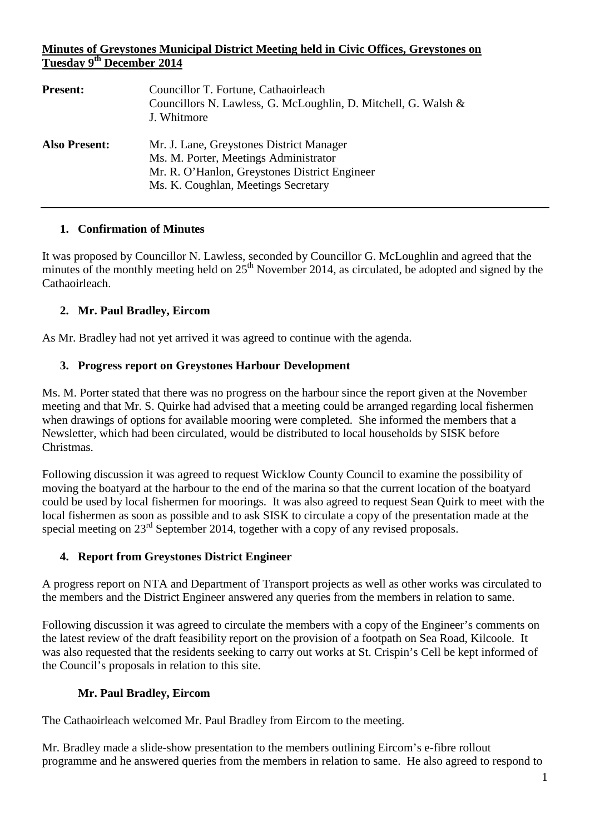## **Minutes of Greystones Municipal District Meeting held in Civic Offices, Greystones on Tuesday 9th December 2014**

| <b>Present:</b>      | Councillor T. Fortune, Cathaoirleach<br>Councillors N. Lawless, G. McLoughlin, D. Mitchell, G. Walsh &<br>J. Whitmore                                                     |
|----------------------|---------------------------------------------------------------------------------------------------------------------------------------------------------------------------|
| <b>Also Present:</b> | Mr. J. Lane, Greystones District Manager<br>Ms. M. Porter, Meetings Administrator<br>Mr. R. O'Hanlon, Greystones District Engineer<br>Ms. K. Coughlan, Meetings Secretary |

## **1. Confirmation of Minutes**

It was proposed by Councillor N. Lawless, seconded by Councillor G. McLoughlin and agreed that the minutes of the monthly meeting held on  $25<sup>th</sup>$  November 2014, as circulated, be adopted and signed by the Cathaoirleach.

# **2. Mr. Paul Bradley, Eircom**

As Mr. Bradley had not yet arrived it was agreed to continue with the agenda.

## **3. Progress report on Greystones Harbour Development**

Ms. M. Porter stated that there was no progress on the harbour since the report given at the November meeting and that Mr. S. Quirke had advised that a meeting could be arranged regarding local fishermen when drawings of options for available mooring were completed. She informed the members that a Newsletter, which had been circulated, would be distributed to local households by SISK before Christmas.

Following discussion it was agreed to request Wicklow County Council to examine the possibility of moving the boatyard at the harbour to the end of the marina so that the current location of the boatyard could be used by local fishermen for moorings. It was also agreed to request Sean Quirk to meet with the local fishermen as soon as possible and to ask SISK to circulate a copy of the presentation made at the special meeting on 23<sup>rd</sup> September 2014, together with a copy of any revised proposals.

#### **4. Report from Greystones District Engineer**

A progress report on NTA and Department of Transport projects as well as other works was circulated to the members and the District Engineer answered any queries from the members in relation to same.

Following discussion it was agreed to circulate the members with a copy of the Engineer's comments on the latest review of the draft feasibility report on the provision of a footpath on Sea Road, Kilcoole. It was also requested that the residents seeking to carry out works at St. Crispin's Cell be kept informed of the Council's proposals in relation to this site.

# **Mr. Paul Bradley, Eircom**

The Cathaoirleach welcomed Mr. Paul Bradley from Eircom to the meeting.

Mr. Bradley made a slide-show presentation to the members outlining Eircom's e-fibre rollout programme and he answered queries from the members in relation to same. He also agreed to respond to